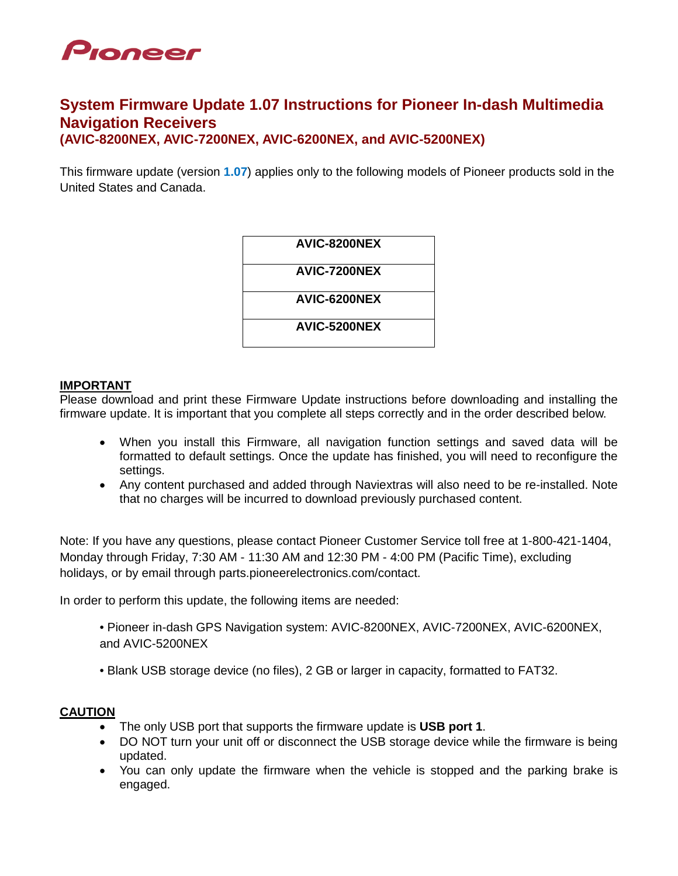

# **System Firmware Update 1.07 Instructions for Pioneer In-dash Multimedia Navigation Receivers (AVIC-8200NEX, AVIC-7200NEX, AVIC-6200NEX, and AVIC-5200NEX)**

This firmware update (version **1.07**) applies only to the following models of Pioneer products sold in the United States and Canada.

| AVIC-8200NEX |
|--------------|
| AVIC-7200NEX |
| AVIC-6200NEX |
| AVIC-5200NEX |
|              |

### **IMPORTANT**

Please download and print these Firmware Update instructions before downloading and installing the firmware update. It is important that you complete all steps correctly and in the order described below.

- When you install this Firmware, all navigation function settings and saved data will be formatted to default settings. Once the update has finished, you will need to reconfigure the settings.
- Any content purchased and added through Naviextras will also need to be re-installed. Note that no charges will be incurred to download previously purchased content.

Note: If you have any questions, please contact Pioneer Customer Service toll free at 1-800-421-1404, Monday through Friday, 7:30 AM - 11:30 AM and 12:30 PM - 4:00 PM (Pacific Time), excluding holidays, or by email through parts.pioneerelectronics.com/contact.

In order to perform this update, the following items are needed:

- Pioneer in-dash GPS Navigation system: AVIC-8200NEX, AVIC-7200NEX, AVIC-6200NEX, and AVIC-5200NEX
- Blank USB storage device (no files), 2 GB or larger in capacity, formatted to FAT32.

## **CAUTION**

- The only USB port that supports the firmware update is **USB port 1**.
- DO NOT turn your unit off or disconnect the USB storage device while the firmware is being updated.
- You can only update the firmware when the vehicle is stopped and the parking brake is engaged.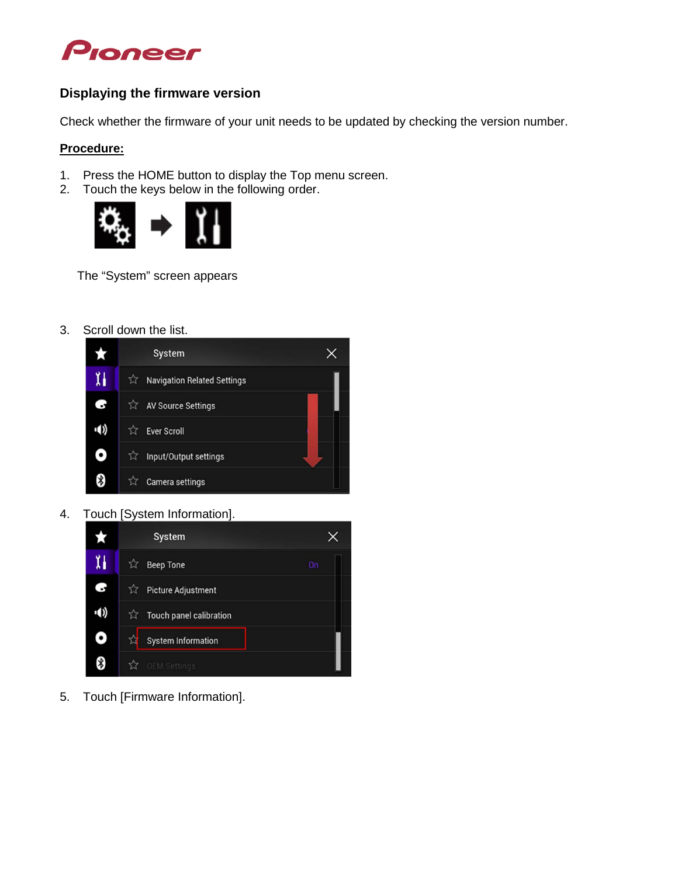

## **Displaying the firmware version**

Check whether the firmware of your unit needs to be updated by checking the version number.

## **Procedure:**

- 1. Press the HOME button to display the Top menu screen.
- 2. Touch the keys below in the following order.



The "System" screen appears

3. Scroll down the list.



4. Touch [System Information].



5. Touch [Firmware Information].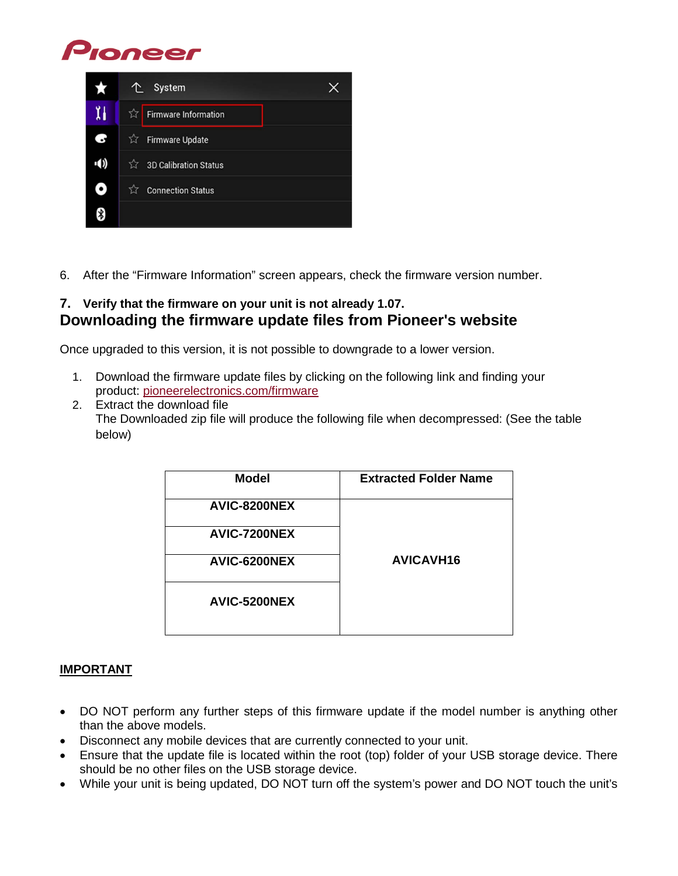



6. After the "Firmware Information" screen appears, check the firmware version number.

## **7. Verify that the firmware on your unit is not already 1.07. Downloading the firmware update files from Pioneer's website**

Once upgraded to this version, it is not possible to downgrade to a lower version.

- 1. Download the firmware update files by clicking on the following link and finding your product: [pioneerelectronics.com/firmware](http://www.pioneerelectronics.com/firmware)
- 2. Extract the download file The Downloaded zip file will produce the following file when decompressed: (See the table below)

| <b>Model</b> | <b>Extracted Folder Name</b> |
|--------------|------------------------------|
| AVIC-8200NEX |                              |
| AVIC-7200NEX |                              |
| AVIC-6200NEX | <b>AVICAVH16</b>             |
| AVIC-5200NEX |                              |

## **IMPORTANT**

- DO NOT perform any further steps of this firmware update if the model number is anything other than the above models.
- Disconnect any mobile devices that are currently connected to your unit.
- Ensure that the update file is located within the root (top) folder of your USB storage device. There should be no other files on the USB storage device.
- While your unit is being updated, DO NOT turn off the system's power and DO NOT touch the unit's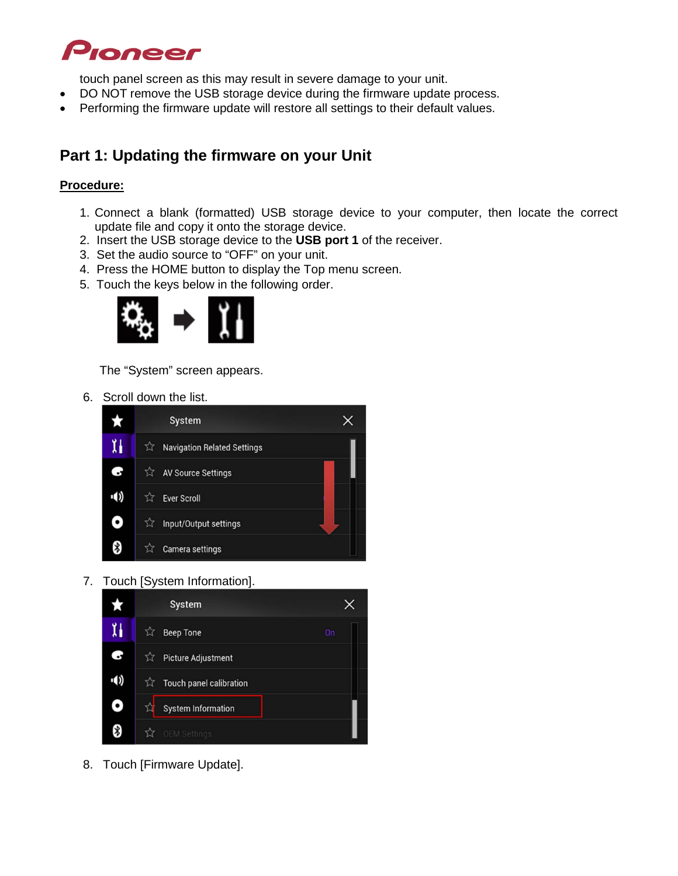

touch panel screen as this may result in severe damage to your unit.

- DO NOT remove the USB storage device during the firmware update process.
- Performing the firmware update will restore all settings to their default values.

# **Part 1: Updating the firmware on your Unit**

## **Procedure:**

- 1. Connect a blank (formatted) USB storage device to your computer, then locate the correct update file and copy it onto the storage device.
- 2. Insert the USB storage device to the **USB port 1** of the receiver.
- 3. Set the audio source to "OFF" on your unit.
- 4. Press the HOME button to display the Top menu screen.
- 5. Touch the keys below in the following order.



The "System" screen appears.

6. Scroll down the list.



7. Touch [System Information].



8. Touch [Firmware Update].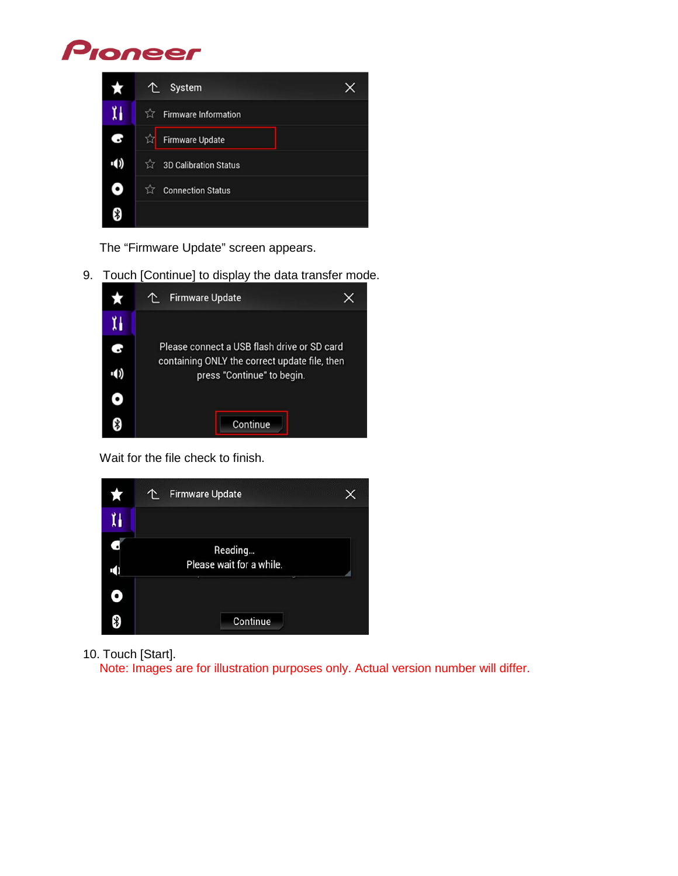# Pioneer



The "Firmware Update" screen appears.

9. Touch [Continue] to display the data transfer mode.



Wait for the file check to finish.



10. Touch [Start].

Note: Images are for illustration purposes only. Actual version number will differ.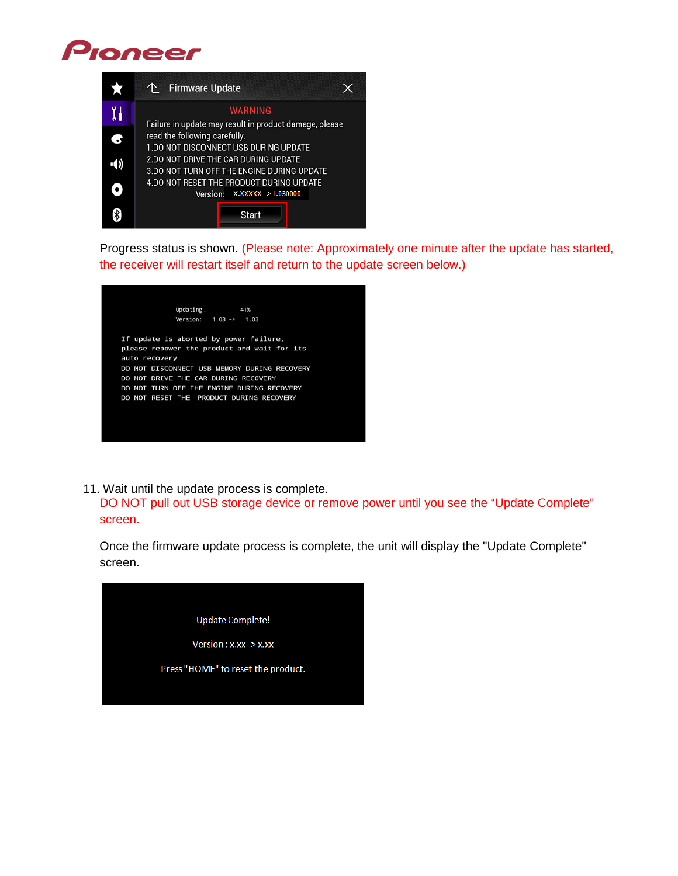# Pioneer



Progress status is shown. (Please note: Approximately one minute after the update has started, the receiver will restart itself and return to the update screen below.)



11. Wait until the update process is complete.

DO NOT pull out USB storage device or remove power until you see the "Update Complete" screen.

Once the firmware update process is complete, the unit will display the "Update Complete" screen.

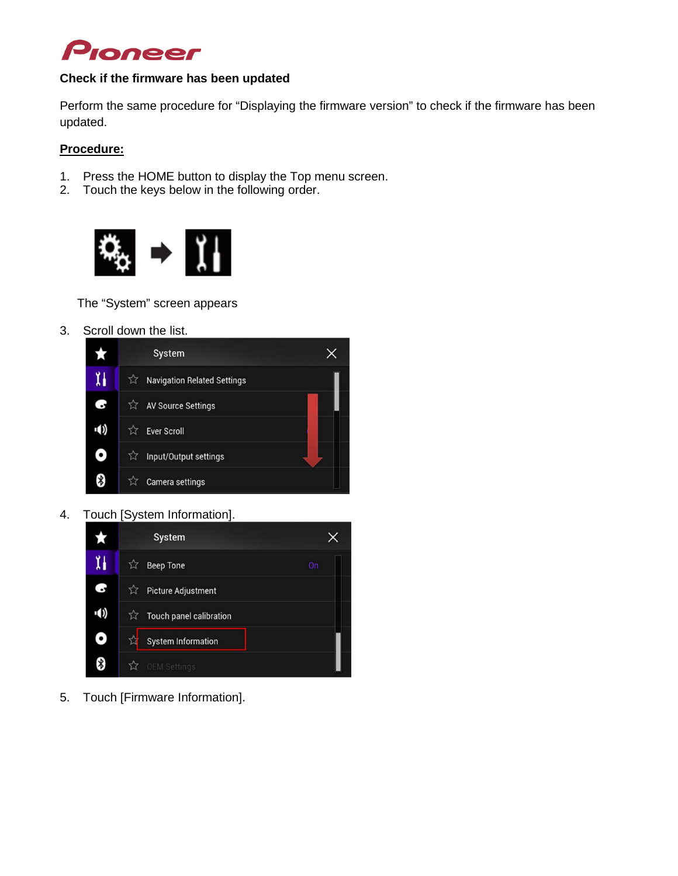

### **Check if the firmware has been updated**

Perform the same procedure for "Displaying the firmware version" to check if the firmware has been updated.

## **Procedure:**

- 1. Press the HOME button to display the Top menu screen.<br>2. Touch the keys below in the following order.
- Touch the keys below in the following order.



The "System" screen appears

3. Scroll down the list.



4. Touch [System Information].



5. Touch [Firmware Information].